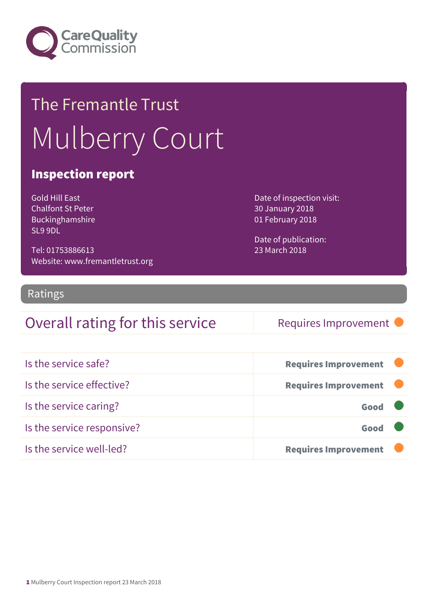

# The Fremantle Trust Mulberry Court

#### Inspection report

Gold Hill East Chalfont St Peter Buckinghamshire SL9 9DL

Tel: 01753886613 Website: www.fremantletrust.org Date of inspection visit: 30 January 2018 01 February 2018

Date of publication: 23 March 2018

#### Ratings

#### Overall rating for this service Requires Improvement

| Is the service safe?       | <b>Requires Improvement</b> |
|----------------------------|-----------------------------|
| Is the service effective?  | <b>Requires Improvement</b> |
| Is the service caring?     | Good                        |
| Is the service responsive? | Good                        |
| Is the service well-led?   | <b>Requires Improvement</b> |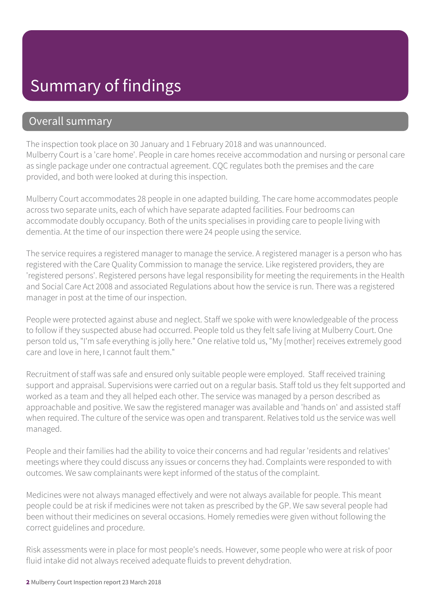### Summary of findings

#### Overall summary

The inspection took place on 30 January and 1 February 2018 and was unannounced. Mulberry Court is a 'care home'. People in care homes receive accommodation and nursing or personal care as single package under one contractual agreement. CQC regulates both the premises and the care provided, and both were looked at during this inspection.

Mulberry Court accommodates 28 people in one adapted building. The care home accommodates people across two separate units, each of which have separate adapted facilities. Four bedrooms can accommodate doubly occupancy. Both of the units specialises in providing care to people living with dementia. At the time of our inspection there were 24 people using the service.

The service requires a registered manager to manage the service. A registered manager is a person who has registered with the Care Quality Commission to manage the service. Like registered providers, they are 'registered persons'. Registered persons have legal responsibility for meeting the requirements in the Health and Social Care Act 2008 and associated Regulations about how the service is run. There was a registered manager in post at the time of our inspection.

People were protected against abuse and neglect. Staff we spoke with were knowledgeable of the process to follow if they suspected abuse had occurred. People told us they felt safe living at Mulberry Court. One person told us, "I'm safe everything is jolly here." One relative told us, "My [mother] receives extremely good care and love in here, I cannot fault them."

Recruitment of staff was safe and ensured only suitable people were employed. Staff received training support and appraisal. Supervisions were carried out on a regular basis. Staff told us they felt supported and worked as a team and they all helped each other. The service was managed by a person described as approachable and positive. We saw the registered manager was available and 'hands on' and assisted staff when required. The culture of the service was open and transparent. Relatives told us the service was well managed.

People and their families had the ability to voice their concerns and had regular 'residents and relatives' meetings where they could discuss any issues or concerns they had. Complaints were responded to with outcomes. We saw complainants were kept informed of the status of the complaint.

Medicines were not always managed effectively and were not always available for people. This meant people could be at risk if medicines were not taken as prescribed by the GP. We saw several people had been without their medicines on several occasions. Homely remedies were given without following the correct guidelines and procedure.

Risk assessments were in place for most people's needs. However, some people who were at risk of poor fluid intake did not always received adequate fluids to prevent dehydration.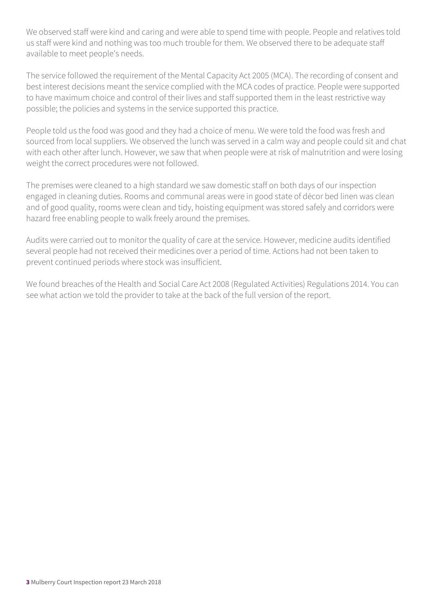We observed staff were kind and caring and were able to spend time with people. People and relatives told us staff were kind and nothing was too much trouble for them. We observed there to be adequate staff available to meet people's needs.

The service followed the requirement of the Mental Capacity Act 2005 (MCA). The recording of consent and best interest decisions meant the service complied with the MCA codes of practice. People were supported to have maximum choice and control of their lives and staff supported them in the least restrictive way possible; the policies and systems in the service supported this practice.

People told us the food was good and they had a choice of menu. We were told the food was fresh and sourced from local suppliers. We observed the lunch was served in a calm way and people could sit and chat with each other after lunch. However, we saw that when people were at risk of malnutrition and were losing weight the correct procedures were not followed.

The premises were cleaned to a high standard we saw domestic staff on both days of our inspection engaged in cleaning duties. Rooms and communal areas were in good state of décor bed linen was clean and of good quality, rooms were clean and tidy, hoisting equipment was stored safely and corridors were hazard free enabling people to walk freely around the premises.

Audits were carried out to monitor the quality of care at the service. However, medicine audits identified several people had not received their medicines over a period of time. Actions had not been taken to prevent continued periods where stock was insufficient.

We found breaches of the Health and Social Care Act 2008 (Regulated Activities) Regulations 2014. You can see what action we told the provider to take at the back of the full version of the report.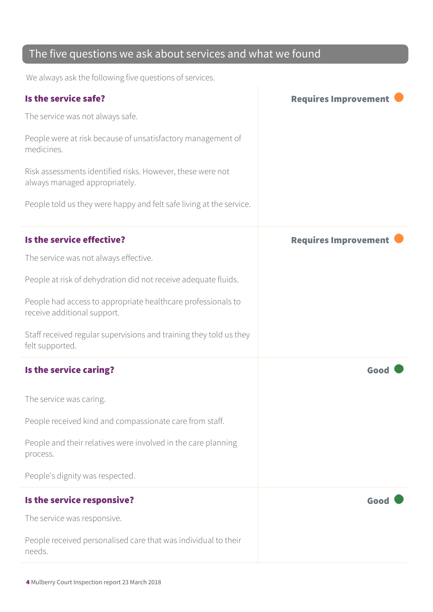#### The five questions we ask about services and what we found

We always ask the following five questions of services.

| Is the service safe?                                                                        | <b>Requires Improvement</b> |
|---------------------------------------------------------------------------------------------|-----------------------------|
| The service was not always safe.                                                            |                             |
| People were at risk because of unsatisfactory management of<br>medicines.                   |                             |
| Risk assessments identified risks. However, these were not<br>always managed appropriately. |                             |
| People told us they were happy and felt safe living at the service.                         |                             |
| Is the service effective?                                                                   | <b>Requires Improvement</b> |
| The service was not always effective.                                                       |                             |
| People at risk of dehydration did not receive adequate fluids.                              |                             |
| People had access to appropriate healthcare professionals to<br>receive additional support. |                             |
| Staff received regular supervisions and training they told us they<br>felt supported.       |                             |
| Is the service caring?                                                                      | Good                        |
| The service was caring.                                                                     |                             |
| People received kind and compassionate care from staff.                                     |                             |
| People and their relatives were involved in the care planning<br>process.                   |                             |
| People's dignity was respected.                                                             |                             |
| Is the service responsive?                                                                  | Good                        |
| The service was responsive.                                                                 |                             |
| People received personalised care that was individual to their<br>needs.                    |                             |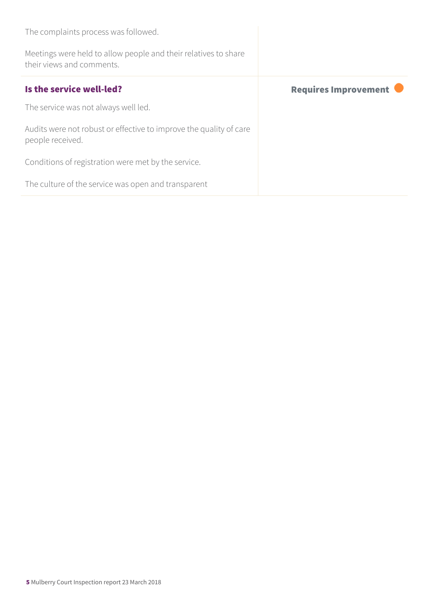| The complaints process was followed.                                                         |                             |
|----------------------------------------------------------------------------------------------|-----------------------------|
| Meetings were held to allow people and their relatives to share<br>their views and comments. |                             |
| Is the service well-led?                                                                     | <b>Requires Improvement</b> |
| The service was not always well led.                                                         |                             |
| Audits were not robust or effective to improve the quality of care<br>people received.       |                             |
| Conditions of registration were met by the service.                                          |                             |
| The culture of the service was open and transparent                                          |                             |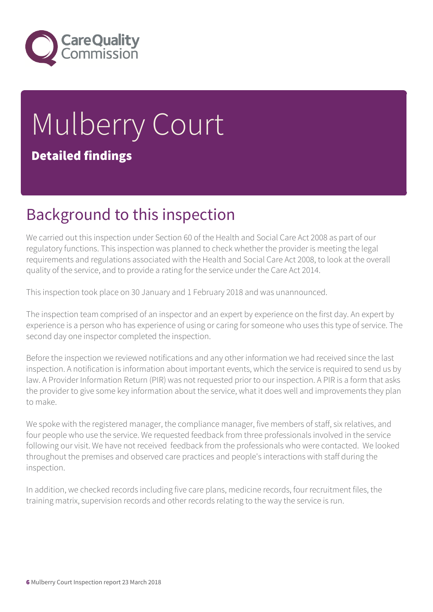

# Mulberry Court Detailed findings

### Background to this inspection

We carried out this inspection under Section 60 of the Health and Social Care Act 2008 as part of our regulatory functions. This inspection was planned to check whether the provider is meeting the legal requirements and regulations associated with the Health and Social Care Act 2008, to look at the overall quality of the service, and to provide a rating for the service under the Care Act 2014.

This inspection took place on 30 January and 1 February 2018 and was unannounced.

The inspection team comprised of an inspector and an expert by experience on the first day. An expert by experience is a person who has experience of using or caring for someone who uses this type of service. The second day one inspector completed the inspection.

Before the inspection we reviewed notifications and any other information we had received since the last inspection. A notification is information about important events, which the service is required to send us by law. A Provider Information Return (PIR) was not requested prior to our inspection. A PIR is a form that asks the provider to give some key information about the service, what it does well and improvements they plan to make.

We spoke with the registered manager, the compliance manager, five members of staff, six relatives, and four people who use the service. We requested feedback from three professionals involved in the service following our visit. We have not received feedback from the professionals who were contacted. We looked throughout the premises and observed care practices and people's interactions with staff during the inspection.

In addition, we checked records including five care plans, medicine records, four recruitment files, the training matrix, supervision records and other records relating to the way the service is run.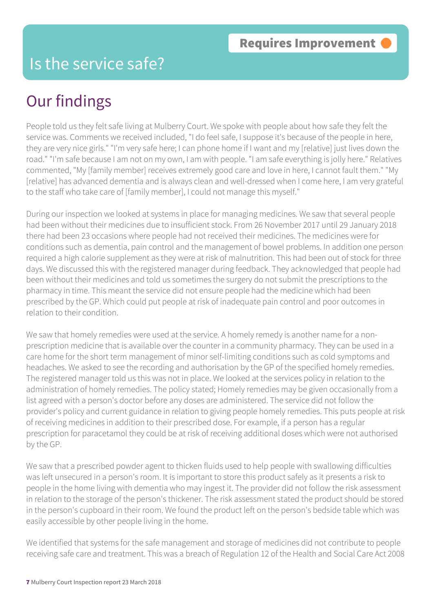#### Is the service safe?

#### Our findings

People told us they felt safe living at Mulberry Court. We spoke with people about how safe they felt the service was. Comments we received included, "I do feel safe, I suppose it's because of the people in here, they are very nice girls." "I'm very safe here; I can phone home if I want and my [relative] just lives down the road." "I'm safe because I am not on my own, I am with people. "I am safe everything is jolly here." Relatives commented, "My [family member] receives extremely good care and love in here, I cannot fault them." "My [relative] has advanced dementia and is always clean and well-dressed when I come here, I am very grateful to the staff who take care of [family member], I could not manage this myself."

During our inspection we looked at systems in place for managing medicines. We saw that several people had been without their medicines due to insufficient stock. From 26 November 2017 until 29 January 2018 there had been 23 occasions where people had not received their medicines. The medicines were for conditions such as dementia, pain control and the management of bowel problems. In addition one person required a high calorie supplement as they were at risk of malnutrition. This had been out of stock for three days. We discussed this with the registered manager during feedback. They acknowledged that people had been without their medicines and told us sometimes the surgery do not submit the prescriptions to the pharmacy in time. This meant the service did not ensure people had the medicine which had been prescribed by the GP. Which could put people at risk of inadequate pain control and poor outcomes in relation to their condition.

We saw that homely remedies were used at the service. A homely remedy is another name for a nonprescription medicine that is available over the counter in a community pharmacy. They can be used in a care home for the short term management of minor self-limiting conditions such as cold symptoms and headaches. We asked to see the recording and authorisation by the GP of the specified homely remedies. The registered manager told us this was not in place. We looked at the services policy in relation to the administration of homely remedies. The policy stated; Homely remedies may be given occasionally from a list agreed with a person's doctor before any doses are administered. The service did not follow the provider's policy and current guidance in relation to giving people homely remedies. This puts people at risk of receiving medicines in addition to their prescribed dose. For example, if a person has a regular prescription for paracetamol they could be at risk of receiving additional doses which were not authorised by the GP.

We saw that a prescribed powder agent to thicken fluids used to help people with swallowing difficulties was left unsecured in a person's room. It is important to store this product safely as it presents a risk to people in the home living with dementia who may ingest it. The provider did not follow the risk assessment in relation to the storage of the person's thickener. The risk assessment stated the product should be stored in the person's cupboard in their room. We found the product left on the person's bedside table which was easily accessible by other people living in the home.

We identified that systems for the safe management and storage of medicines did not contribute to people receiving safe care and treatment. This was a breach of Regulation 12 of the Health and Social Care Act 2008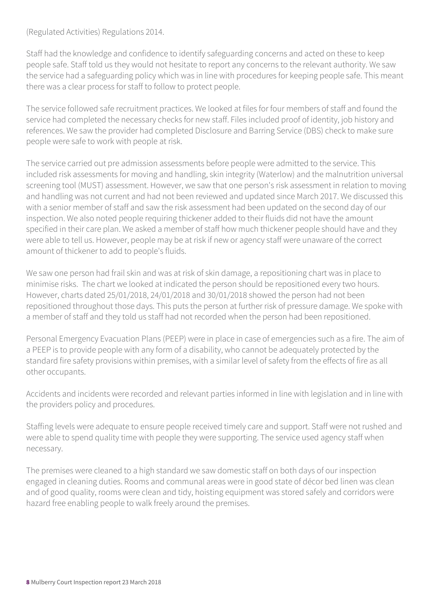(Regulated Activities) Regulations 2014.

Staff had the knowledge and confidence to identify safeguarding concerns and acted on these to keep people safe. Staff told us they would not hesitate to report any concerns to the relevant authority. We saw the service had a safeguarding policy which was in line with procedures for keeping people safe. This meant there was a clear process for staff to follow to protect people.

The service followed safe recruitment practices. We looked at files for four members of staff and found the service had completed the necessary checks for new staff. Files included proof of identity, job history and references. We saw the provider had completed Disclosure and Barring Service (DBS) check to make sure people were safe to work with people at risk.

The service carried out pre admission assessments before people were admitted to the service. This included risk assessments for moving and handling, skin integrity (Waterlow) and the malnutrition universal screening tool (MUST) assessment. However, we saw that one person's risk assessment in relation to moving and handling was not current and had not been reviewed and updated since March 2017. We discussed this with a senior member of staff and saw the risk assessment had been updated on the second day of our inspection. We also noted people requiring thickener added to their fluids did not have the amount specified in their care plan. We asked a member of staff how much thickener people should have and they were able to tell us. However, people may be at risk if new or agency staff were unaware of the correct amount of thickener to add to people's fluids.

We saw one person had frail skin and was at risk of skin damage, a repositioning chart was in place to minimise risks. The chart we looked at indicated the person should be repositioned every two hours. However, charts dated 25/01/2018, 24/01/2018 and 30/01/2018 showed the person had not been repositioned throughout those days. This puts the person at further risk of pressure damage. We spoke with a member of staff and they told us staff had not recorded when the person had been repositioned.

Personal Emergency Evacuation Plans (PEEP) were in place in case of emergencies such as a fire. The aim of a PEEP is to provide people with any form of a disability, who cannot be adequately protected by the standard fire safety provisions within premises, with a similar level of safety from the effects of fire as all other occupants.

Accidents and incidents were recorded and relevant parties informed in line with legislation and in line with the providers policy and procedures.

Staffing levels were adequate to ensure people received timely care and support. Staff were not rushed and were able to spend quality time with people they were supporting. The service used agency staff when necessary.

The premises were cleaned to a high standard we saw domestic staff on both days of our inspection engaged in cleaning duties. Rooms and communal areas were in good state of décor bed linen was clean and of good quality, rooms were clean and tidy, hoisting equipment was stored safely and corridors were hazard free enabling people to walk freely around the premises.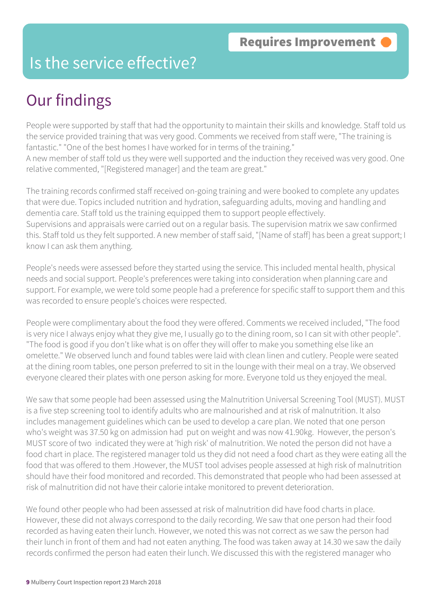#### Is the service effective?

## Our findings

People were supported by staff that had the opportunity to maintain their skills and knowledge. Staff told us the service provided training that was very good. Comments we received from staff were, "The training is fantastic." "One of the best homes I have worked for in terms of the training." A new member of staff told us they were well supported and the induction they received was very good. One relative commented, "[Registered manager] and the team are great."

The training records confirmed staff received on-going training and were booked to complete any updates that were due. Topics included nutrition and hydration, safeguarding adults, moving and handling and dementia care. Staff told us the training equipped them to support people effectively. Supervisions and appraisals were carried out on a regular basis. The supervision matrix we saw confirmed this. Staff told us they felt supported. A new member of staff said, "[Name of staff] has been a great support; I know I can ask them anything.

People's needs were assessed before they started using the service. This included mental health, physical needs and social support. People's preferences were taking into consideration when planning care and support. For example, we were told some people had a preference for specific staff to support them and this was recorded to ensure people's choices were respected.

People were complimentary about the food they were offered. Comments we received included, "The food is very nice I always enjoy what they give me, I usually go to the dining room, so I can sit with other people". "The food is good if you don't like what is on offer they will offer to make you something else like an omelette." We observed lunch and found tables were laid with clean linen and cutlery. People were seated at the dining room tables, one person preferred to sit in the lounge with their meal on a tray. We observed everyone cleared their plates with one person asking for more. Everyone told us they enjoyed the meal.

We saw that some people had been assessed using the Malnutrition Universal Screening Tool (MUST). MUST is a five step screening tool to identify adults who are malnourished and at risk of malnutrition. It also includes management guidelines which can be used to develop a care plan. We noted that one person who's weight was 37.50 kg on admission had put on weight and was now 41.90kg. However, the person's MUST score of two indicated they were at 'high risk' of malnutrition. We noted the person did not have a food chart in place. The registered manager told us they did not need a food chart as they were eating all the food that was offered to them .However, the MUST tool advises people assessed at high risk of malnutrition should have their food monitored and recorded. This demonstrated that people who had been assessed at risk of malnutrition did not have their calorie intake monitored to prevent deterioration.

We found other people who had been assessed at risk of malnutrition did have food charts in place. However, these did not always correspond to the daily recording. We saw that one person had their food recorded as having eaten their lunch. However, we noted this was not correct as we saw the person had their lunch in front of them and had not eaten anything. The food was taken away at 14.30 we saw the daily records confirmed the person had eaten their lunch. We discussed this with the registered manager who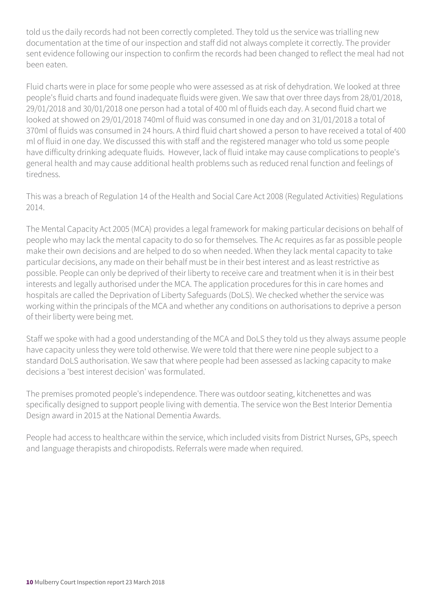told us the daily records had not been correctly completed. They told us the service was trialling new documentation at the time of our inspection and staff did not always complete it correctly. The provider sent evidence following our inspection to confirm the records had been changed to reflect the meal had not been eaten.

Fluid charts were in place for some people who were assessed as at risk of dehydration. We looked at three people's fluid charts and found inadequate fluids were given. We saw that over three days from 28/01/2018, 29/01/2018 and 30/01/2018 one person had a total of 400 ml of fluids each day. A second fluid chart we looked at showed on 29/01/2018 740ml of fluid was consumed in one day and on 31/01/2018 a total of 370ml of fluids was consumed in 24 hours. A third fluid chart showed a person to have received a total of 400 ml of fluid in one day. We discussed this with staff and the registered manager who told us some people have difficulty drinking adequate fluids. However, lack of fluid intake may cause complications to people's general health and may cause additional health problems such as reduced renal function and feelings of tiredness.

This was a breach of Regulation 14 of the Health and Social Care Act 2008 (Regulated Activities) Regulations 2014.

The Mental Capacity Act 2005 (MCA) provides a legal framework for making particular decisions on behalf of people who may lack the mental capacity to do so for themselves. The Ac requires as far as possible people make their own decisions and are helped to do so when needed. When they lack mental capacity to take particular decisions, any made on their behalf must be in their best interest and as least restrictive as possible. People can only be deprived of their liberty to receive care and treatment when it is in their best interests and legally authorised under the MCA. The application procedures for this in care homes and hospitals are called the Deprivation of Liberty Safeguards (DoLS). We checked whether the service was working within the principals of the MCA and whether any conditions on authorisations to deprive a person of their liberty were being met.

Staff we spoke with had a good understanding of the MCA and DoLS they told us they always assume people have capacity unless they were told otherwise. We were told that there were nine people subject to a standard DoLS authorisation. We saw that where people had been assessed as lacking capacity to make decisions a 'best interest decision' was formulated.

The premises promoted people's independence. There was outdoor seating, kitchenettes and was specifically designed to support people living with dementia. The service won the Best Interior Dementia Design award in 2015 at the National Dementia Awards.

People had access to healthcare within the service, which included visits from District Nurses, GPs, speech and language therapists and chiropodists. Referrals were made when required.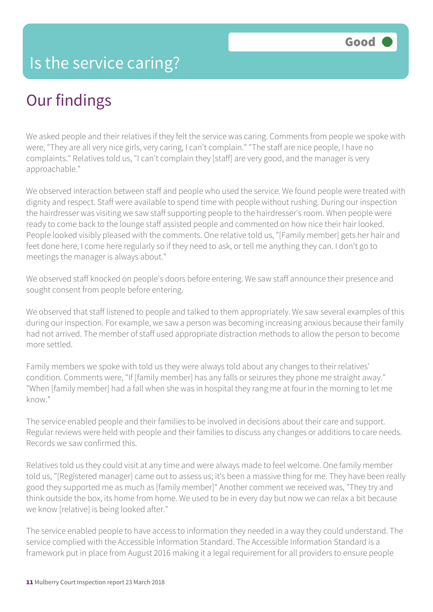## Our findings

We asked people and their relatives if they felt the service was caring. Comments from people we spoke with were, "They are all very nice girls, very caring, I can't complain." "The staff are nice people, I have no complaints." Relatives told us, "I can't complain they [staff] are very good, and the manager is very approachable."

We observed interaction between staff and people who used the service. We found people were treated with dignity and respect. Staff were available to spend time with people without rushing. During our inspection the hairdresser was visiting we saw staff supporting people to the hairdresser's room. When people were ready to come back to the lounge staff assisted people and commented on how nice their hair looked. People looked visibly pleased with the comments. One relative told us, "[Family member] gets her hair and feet done here, I come here regularly so if they need to ask, or tell me anything they can. I don't go to meetings the manager is always about."

We observed staff knocked on people's doors before entering. We saw staff announce their presence and sought consent from people before entering.

We observed that staff listened to people and talked to them appropriately. We saw several examples of this during our inspection. For example, we saw a person was becoming increasing anxious because their family had not arrived. The member of staff used appropriate distraction methods to allow the person to become more settled.

Family members we spoke with told us they were always told about any changes to their relatives' condition. Comments were, "If [family member] has any falls or seizures they phone me straight away." "When [family member] had a fall when she was in hospital they rang me at four in the morning to let me know."

The service enabled people and their families to be involved in decisions about their care and support. Regular reviews were held with people and their families to discuss any changes or additions to care needs. Records we saw confirmed this.

Relatives told us they could visit at any time and were always made to feel welcome. One family member told us, "[Registered manager] came out to assess us; it's been a massive thing for me. They have been really good they supported me as much as [family member]" Another comment we received was, "They try and think outside the box, its home from home. We used to be in every day but now we can relax a bit because we know [relative] is being looked after."

The service enabled people to have access to information they needed in a way they could understand. The service complied with the Accessible Information Standard. The Accessible Information Standard is a framework put in place from August 2016 making it a legal requirement for all providers to ensure people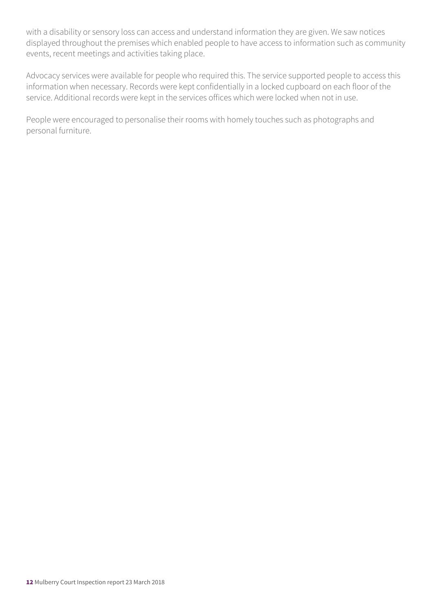with a disability or sensory loss can access and understand information they are given. We saw notices displayed throughout the premises which enabled people to have access to information such as community events, recent meetings and activities taking place.

Advocacy services were available for people who required this. The service supported people to access this information when necessary. Records were kept confidentially in a locked cupboard on each floor of the service. Additional records were kept in the services offices which were locked when not in use.

People were encouraged to personalise their rooms with homely touches such as photographs and personal furniture.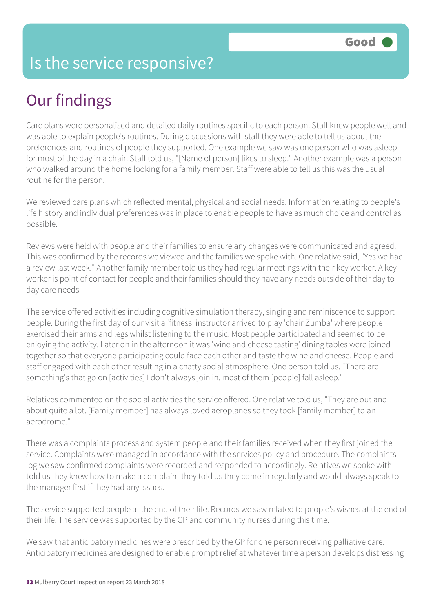#### Is the service responsive?

## Our findings

Care plans were personalised and detailed daily routines specific to each person. Staff knew people well and was able to explain people's routines. During discussions with staff they were able to tell us about the preferences and routines of people they supported. One example we saw was one person who was asleep for most of the day in a chair. Staff told us, "[Name of person] likes to sleep." Another example was a person who walked around the home looking for a family member. Staff were able to tell us this was the usual routine for the person.

We reviewed care plans which reflected mental, physical and social needs. Information relating to people's life history and individual preferences was in place to enable people to have as much choice and control as possible.

Reviews were held with people and their families to ensure any changes were communicated and agreed. This was confirmed by the records we viewed and the families we spoke with. One relative said, "Yes we had a review last week." Another family member told us they had regular meetings with their key worker. A key worker is point of contact for people and their families should they have any needs outside of their day to day care needs.

The service offered activities including cognitive simulation therapy, singing and reminiscence to support people. During the first day of our visit a 'fitness' instructor arrived to play 'chair Zumba' where people exercised their arms and legs whilst listening to the music. Most people participated and seemed to be enjoying the activity. Later on in the afternoon it was 'wine and cheese tasting' dining tables were joined together so that everyone participating could face each other and taste the wine and cheese. People and staff engaged with each other resulting in a chatty social atmosphere. One person told us, "There are something's that go on [activities] I don't always join in, most of them [people] fall asleep."

Relatives commented on the social activities the service offered. One relative told us, "They are out and about quite a lot. [Family member] has always loved aeroplanes so they took [family member] to an aerodrome."

There was a complaints process and system people and their families received when they first joined the service. Complaints were managed in accordance with the services policy and procedure. The complaints log we saw confirmed complaints were recorded and responded to accordingly. Relatives we spoke with told us they knew how to make a complaint they told us they come in regularly and would always speak to the manager first if they had any issues.

The service supported people at the end of their life. Records we saw related to people's wishes at the end of their life. The service was supported by the GP and community nurses during this time.

We saw that anticipatory medicines were prescribed by the GP for one person receiving palliative care. Anticipatory medicines are designed to enable prompt relief at whatever time a person develops distressing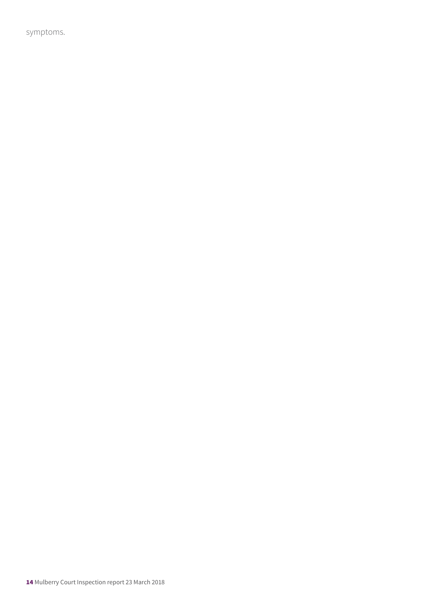symptoms.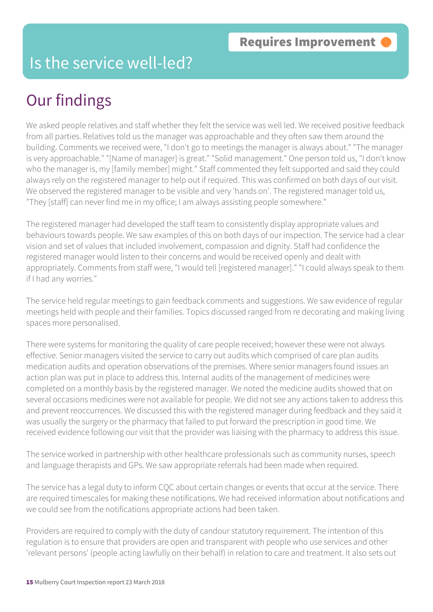#### Is the service well-led?

## Our findings

We asked people relatives and staff whether they felt the service was well led. We received positive feedback from all parties. Relatives told us the manager was approachable and they often saw them around the building. Comments we received were, "I don't go to meetings the manager is always about." "The manager is very approachable." "[Name of manager] is great." "Solid management." One person told us, "I don't know who the manager is, my [family member] might." Staff commented they felt supported and said they could always rely on the registered manager to help out if required. This was confirmed on both days of our visit. We observed the registered manager to be visible and very 'hands on'. The registered manager told us, "They [staff] can never find me in my office; I am always assisting people somewhere."

The registered manager had developed the staff team to consistently display appropriate values and behaviours towards people. We saw examples of this on both days of our inspection. The service had a clear vision and set of values that included involvement, compassion and dignity. Staff had confidence the registered manager would listen to their concerns and would be received openly and dealt with appropriately. Comments from staff were, "I would tell [registered manager]." "I could always speak to them if I had any worries."

The service held regular meetings to gain feedback comments and suggestions. We saw evidence of regular meetings held with people and their families. Topics discussed ranged from re decorating and making living spaces more personalised.

There were systems for monitoring the quality of care people received; however these were not always effective. Senior managers visited the service to carry out audits which comprised of care plan audits medication audits and operation observations of the premises. Where senior managers found issues an action plan was put in place to address this. Internal audits of the management of medicines were completed on a monthly basis by the registered manager. We noted the medicine audits showed that on several occasions medicines were not available for people. We did not see any actions taken to address this and prevent reoccurrences. We discussed this with the registered manager during feedback and they said it was usually the surgery or the pharmacy that failed to put forward the prescription in good time. We received evidence following our visit that the provider was liaising with the pharmacy to address this issue.

The service worked in partnership with other healthcare professionals such as community nurses, speech and language therapists and GPs. We saw appropriate referrals had been made when required.

The service has a legal duty to inform CQC about certain changes or events that occur at the service. There are required timescales for making these notifications. We had received information about notifications and we could see from the notifications appropriate actions had been taken.

Providers are required to comply with the duty of candour statutory requirement. The intention of this regulation is to ensure that providers are open and transparent with people who use services and other 'relevant persons' (people acting lawfully on their behalf) in relation to care and treatment. It also sets out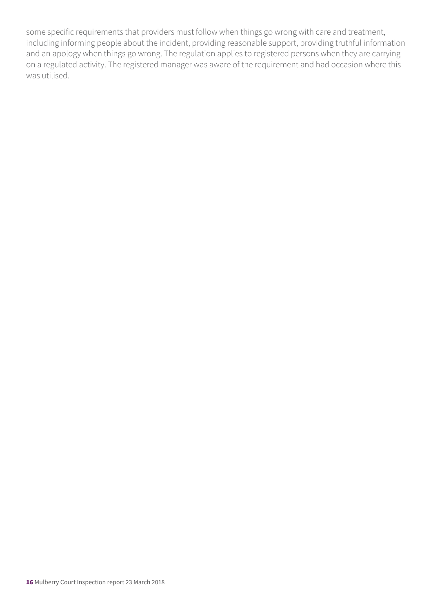some specific requirements that providers must follow when things go wrong with care and treatment, including informing people about the incident, providing reasonable support, providing truthful information and an apology when things go wrong. The regulation applies to registered persons when they are carrying on a regulated activity. The registered manager was aware of the requirement and had occasion where this was utilised.